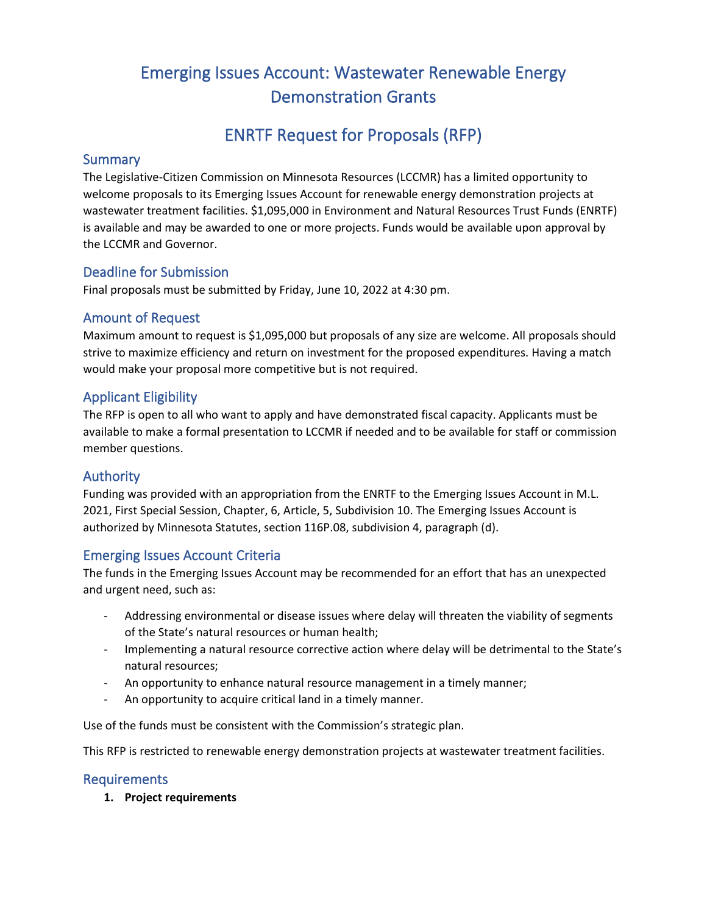# Emerging Issues Account: Wastewater Renewable Energy Demonstration Grants

# ENRTF Request for Proposals (RFP)

### **Summary**

The Legislative-Citizen Commission on Minnesota Resources (LCCMR) has a limited opportunity to welcome proposals to its Emerging Issues Account for renewable energy demonstration projects at wastewater treatment facilities. \$1,095,000 in Environment and Natural Resources Trust Funds (ENRTF) is available and may be awarded to one or more projects. Funds would be available upon approval by the LCCMR and Governor.

## Deadline for Submission

Final proposals must be submitted by Friday, June 10, 2022 at 4:30 pm.

### Amount of Request

Maximum amount to request is \$1,095,000 but proposals of any size are welcome. All proposals should strive to maximize efficiency and return on investment for the proposed expenditures. Having a match would make your proposal more competitive but is not required.

### Applicant Eligibility

The RFP is open to all who want to apply and have demonstrated fiscal capacity. Applicants must be available to make a formal presentation to LCCMR if needed and to be available for staff or commission member questions.

### Authority

Funding was provided with an appropriation from the ENRTF to the Emerging Issues Account in M.L. 2021, First Special Session, Chapter, 6, Article, 5, Subdivision 10. The Emerging Issues Account is authorized by Minnesota Statutes, section 116P.08, subdivision 4, paragraph (d).

## Emerging Issues Account Criteria

The funds in the Emerging Issues Account may be recommended for an effort that has an unexpected and urgent need, such as:

- Addressing environmental or disease issues where delay will threaten the viability of segments of the State's natural resources or human health;
- Implementing a natural resource corrective action where delay will be detrimental to the State's natural resources;
- An opportunity to enhance natural resource management in a timely manner;
- An opportunity to acquire critical land in a timely manner.

Use of the funds must be consistent with the Commission's strategic plan.

This RFP is restricted to renewable energy demonstration projects at wastewater treatment facilities.

### Requirements

**1. Project requirements**